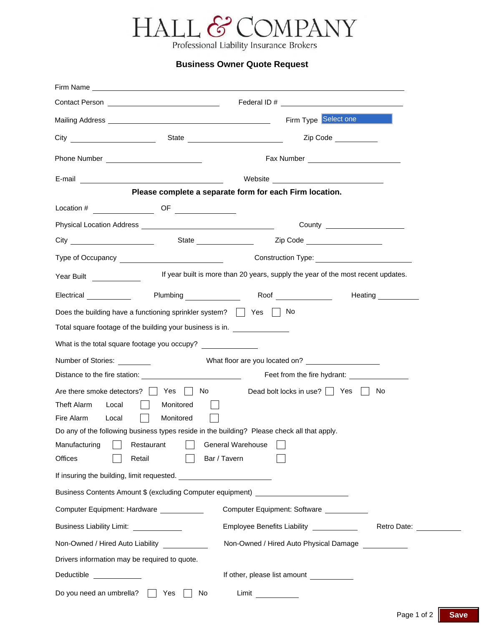

Professional Liability Insurance Brokers

## **Business Owner Quote Request**

|                                                                                                                                                               |                        | Firm Type Select one                                                                                                                                                          |                                |
|---------------------------------------------------------------------------------------------------------------------------------------------------------------|------------------------|-------------------------------------------------------------------------------------------------------------------------------------------------------------------------------|--------------------------------|
|                                                                                                                                                               |                        |                                                                                                                                                                               | Zip Code                       |
|                                                                                                                                                               |                        |                                                                                                                                                                               |                                |
|                                                                                                                                                               |                        |                                                                                                                                                                               |                                |
|                                                                                                                                                               |                        | Please complete a separate form for each Firm location.                                                                                                                       |                                |
| $\text{Location #} \quad \overbrace{\hspace{2.5cm}} \hspace{2.5cm} \text{OF} \quad \overbrace{\hspace{2.5cm}}$                                                |                        |                                                                                                                                                                               |                                |
|                                                                                                                                                               |                        |                                                                                                                                                                               | County _______________________ |
|                                                                                                                                                               |                        |                                                                                                                                                                               |                                |
|                                                                                                                                                               |                        |                                                                                                                                                                               |                                |
| Year Built <u>New Year</u>                                                                                                                                    |                        | If year built is more than 20 years, supply the year of the most recent updates.                                                                                              |                                |
|                                                                                                                                                               |                        |                                                                                                                                                                               |                                |
| Does the building have a functioning sprinkler system? $\vert \vert$ Yes $\vert \vert$ No                                                                     |                        |                                                                                                                                                                               |                                |
| Total square footage of the building your business is in.                                                                                                     |                        |                                                                                                                                                                               |                                |
| What is the total square footage you occupy?                                                                                                                  |                        |                                                                                                                                                                               |                                |
| Number of Stories:                                                                                                                                            |                        |                                                                                                                                                                               |                                |
|                                                                                                                                                               |                        | Feet from the fire hydrant:                                                                                                                                                   |                                |
| Are there smoke detectors? Yes No<br>Theft Alarm<br>Local<br>Fire Alarm<br>Local<br>$\blacksquare$<br>Manufacturing<br>Restaurant<br><b>Offices</b><br>Retail | Monitored<br>Monitored | Dead bolt locks in use? $\Box$ Yes $\Box$<br>Do any of the following business types reside in the building? Please check all that apply.<br>General Warehouse<br>Bar / Tavern | No                             |
|                                                                                                                                                               |                        |                                                                                                                                                                               |                                |
|                                                                                                                                                               |                        | Business Contents Amount \$ (excluding Computer equipment) ______________________                                                                                             |                                |
| Computer Equipment: Hardware ___________                                                                                                                      |                        | Computer Equipment: Software                                                                                                                                                  |                                |
| Business Liability Limit: _____________                                                                                                                       |                        | Employee Benefits Liability ___________                                                                                                                                       | Retro Date:                    |
| Non-Owned / Hired Auto Liability ____________                                                                                                                 |                        | Non-Owned / Hired Auto Physical Damage ___________                                                                                                                            |                                |
| Drivers information may be required to quote.                                                                                                                 |                        |                                                                                                                                                                               |                                |
| Deductible ____________                                                                                                                                       |                        | If other, please list amount                                                                                                                                                  |                                |
| Do you need an umbrella?                                                                                                                                      | Yes<br>No              | $Limit \qquad \qquad \qquad$                                                                                                                                                  |                                |